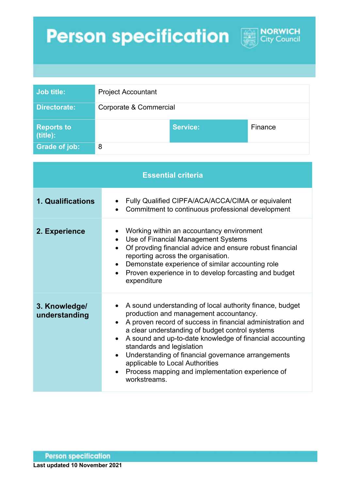## **Person specification**



**NORWICH**<br>City Council

| <b>Essential criteria</b>      |                                                                                                                                                                                                                                                                                                                                                                                                                                                                                        |
|--------------------------------|----------------------------------------------------------------------------------------------------------------------------------------------------------------------------------------------------------------------------------------------------------------------------------------------------------------------------------------------------------------------------------------------------------------------------------------------------------------------------------------|
| 1. Qualifications              | Fully Qualified CIPFA/ACA/ACCA/CIMA or equivalent<br>Commitment to continuous professional development                                                                                                                                                                                                                                                                                                                                                                                 |
| 2. Experience                  | Working within an accountancy environment<br>Use of Financial Management Systems<br>$\bullet$<br>Of provding financial advice and ensure robust financial<br>$\bullet$<br>reporting across the organisation.<br>Demonstate experience of similar accounting role<br>Proven experience in to develop forcasting and budget<br>$\bullet$<br>expenditure                                                                                                                                  |
| 3. Knowledge/<br>understanding | A sound understanding of local authority finance, budget<br>production and management accountancy.<br>A proven record of success in financial administration and<br>$\bullet$<br>a clear understanding of budget control systems<br>A sound and up-to-date knowledge of financial accounting<br>standards and legislation<br>Understanding of financial governance arrangements<br>applicable to Local Authorities<br>Process mapping and implementation experience of<br>workstreams. |